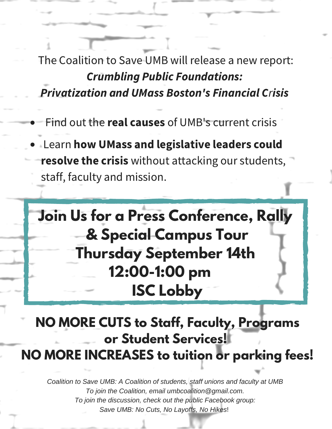The Coalition to Save UMB will release a new report: Crumbling Public Foundations: Privatization and UMass Boston's Financial Crisis

- Find out the real causes of UMB's current crisis
- **Learn how UMass and legislative leaders could** resolve the crisis without attacking our students, staff, faculty and mission.

**Join Us for a Press Conference, Rally & Special Campus Tour Thursday September 14th 12:00-1:00 pm ISC Lobby**

**NO MORE CUTS to Staff, Faculty, Programs or Student Services! NO MORE INCREASES to tuition or parking fees!**

*Coalition to Save UMB: A Coalition of students, staff unions and faculty at UMB To join the Coalition, email umbcoalition@gmail.com. To join the discussion, check out the public Facebook group: Save UMB: No Cuts, No Layoffs, No Hikes*!